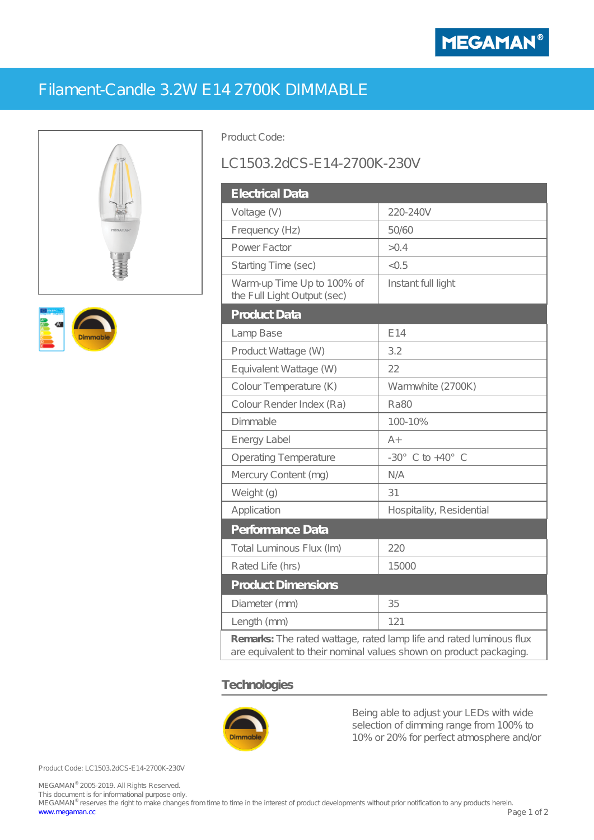

## Filament-Candle 3.2W E14 2700K DIMMABLE





Product Code:

## LC1503.2dCS-E14-2700K-230V

| <b>Electrical Data</b>                                                                                                                    |                                |
|-------------------------------------------------------------------------------------------------------------------------------------------|--------------------------------|
| Voltage (V)                                                                                                                               | 220-240V                       |
| Frequency (Hz)                                                                                                                            | 50/60                          |
| Power Factor                                                                                                                              | > 0.4                          |
| Starting Time (sec)                                                                                                                       | < 0.5                          |
| Warm-up Time Up to 100% of<br>the Full Light Output (sec)                                                                                 | Instant full light             |
| <b>Product Data</b>                                                                                                                       |                                |
| Lamp Base                                                                                                                                 | E14                            |
| Product Wattage (W)                                                                                                                       | 3.2                            |
| Equivalent Wattage (W)                                                                                                                    | 22                             |
| Colour Temperature (K)                                                                                                                    | Warmwhite (2700K)              |
| Colour Render Index (Ra)                                                                                                                  | <b>Ra80</b>                    |
| Dimmable                                                                                                                                  | 100-10%                        |
| Energy Label                                                                                                                              | $A +$                          |
| Operating Temperature                                                                                                                     | $-30^\circ$ C to $+40^\circ$ C |
| Mercury Content (mg)                                                                                                                      | N/A                            |
| Weight (g)                                                                                                                                | 31                             |
| Application                                                                                                                               | Hospitality, Residential       |
| Performance Data                                                                                                                          |                                |
| Total Luminous Flux (Im)                                                                                                                  | 220                            |
| Rated Life (hrs)                                                                                                                          | 15000                          |
| <b>Product Dimensions</b>                                                                                                                 |                                |
| Diameter (mm)                                                                                                                             | 35                             |
| Length (mm)                                                                                                                               | 121                            |
| Remarks: The rated wattage, rated lamp life and rated luminous flux<br>are equivalent to their nominal values shown on product packaging. |                                |

## **Technologies**



Being able to adjust your LEDs with wide selection of dimming range from 100% to 10% or 20% for perfect atmosphere and/or

Product Code: LC1503.2dCS-E14-2700K-230V

MEGAMAN® 2005-2019. All Rights Reserved. This document is for informational purpose only.

MEGAMAN® reserves the right to make changes from time to time in the interest of product developments without prior notification to any products herein. [www.megaman.cc](http://www.megaman.cc) Page 1 of 2